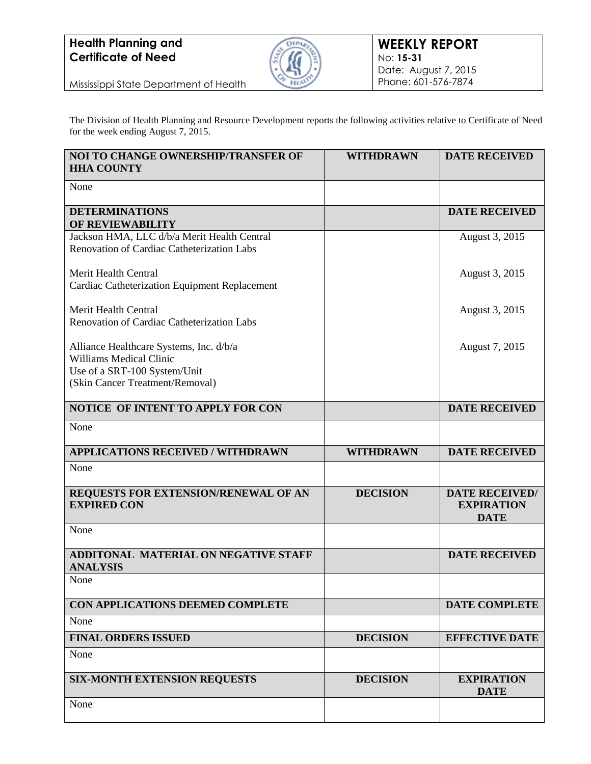## **Health Planning and Certificate of Need**



Mississippi State Department of Health

The Division of Health Planning and Resource Development reports the following activities relative to Certificate of Need for the week ending August 7, 2015.

| NOI TO CHANGE OWNERSHIP/TRANSFER OF<br><b>HHA COUNTY</b>                                                                                     | <b>WITHDRAWN</b> | <b>DATE RECEIVED</b>                                      |
|----------------------------------------------------------------------------------------------------------------------------------------------|------------------|-----------------------------------------------------------|
| None                                                                                                                                         |                  |                                                           |
| <b>DETERMINATIONS</b><br>OF REVIEWABILITY                                                                                                    |                  | <b>DATE RECEIVED</b>                                      |
| Jackson HMA, LLC d/b/a Merit Health Central<br>Renovation of Cardiac Catheterization Labs                                                    |                  | August 3, 2015                                            |
| Merit Health Central                                                                                                                         |                  | August 3, 2015                                            |
| Cardiac Catheterization Equipment Replacement                                                                                                |                  |                                                           |
| Merit Health Central<br>Renovation of Cardiac Catheterization Labs                                                                           |                  | August 3, 2015                                            |
| Alliance Healthcare Systems, Inc. d/b/a<br><b>Williams Medical Clinic</b><br>Use of a SRT-100 System/Unit<br>(Skin Cancer Treatment/Removal) |                  | August 7, 2015                                            |
| NOTICE OF INTENT TO APPLY FOR CON                                                                                                            |                  | <b>DATE RECEIVED</b>                                      |
| None                                                                                                                                         |                  |                                                           |
| <b>APPLICATIONS RECEIVED / WITHDRAWN</b>                                                                                                     | <b>WITHDRAWN</b> | <b>DATE RECEIVED</b>                                      |
| None                                                                                                                                         |                  |                                                           |
| REQUESTS FOR EXTENSION/RENEWAL OF AN<br><b>EXPIRED CON</b>                                                                                   | <b>DECISION</b>  | <b>DATE RECEIVED/</b><br><b>EXPIRATION</b><br><b>DATE</b> |
| None                                                                                                                                         |                  |                                                           |
| ADDITONAL MATERIAL ON NEGATIVE STAFF<br><b>ANALYSIS</b>                                                                                      |                  | <b>DATE RECEIVED</b>                                      |
| None                                                                                                                                         |                  |                                                           |
| CON APPLICATIONS DEEMED COMPLETE                                                                                                             |                  | <b>DATE COMPLETE</b>                                      |
| None                                                                                                                                         |                  |                                                           |
| <b>FINAL ORDERS ISSUED</b><br>None                                                                                                           | <b>DECISION</b>  | <b>EFFECTIVE DATE</b>                                     |
| <b>SIX-MONTH EXTENSION REQUESTS</b>                                                                                                          | <b>DECISION</b>  | <b>EXPIRATION</b><br><b>DATE</b>                          |
| None                                                                                                                                         |                  |                                                           |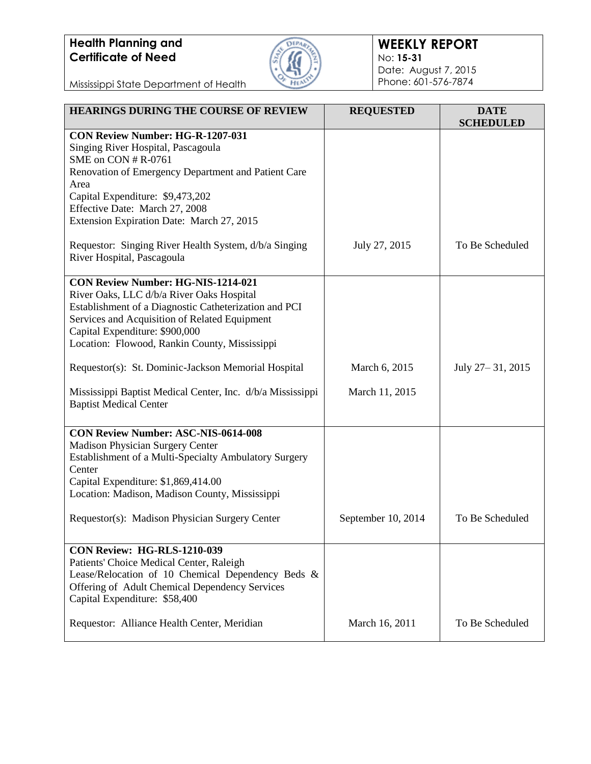## **Health Planning and Certificate of Need**



## **WEEKLY REPORT** No: **15-31** Date: August 7, 2015 Phone: 601-576-7874

Mississippi State Department of Health

| <b>HEARINGS DURING THE COURSE OF REVIEW</b>                                                         | <b>REQUESTED</b>   | <b>DATE</b><br><b>SCHEDULED</b> |
|-----------------------------------------------------------------------------------------------------|--------------------|---------------------------------|
| <b>CON Review Number: HG-R-1207-031</b>                                                             |                    |                                 |
| Singing River Hospital, Pascagoula<br>SME on CON # R-0761                                           |                    |                                 |
| Renovation of Emergency Department and Patient Care                                                 |                    |                                 |
| Area                                                                                                |                    |                                 |
| Capital Expenditure: \$9,473,202                                                                    |                    |                                 |
| Effective Date: March 27, 2008                                                                      |                    |                                 |
| Extension Expiration Date: March 27, 2015                                                           |                    |                                 |
| Requestor: Singing River Health System, d/b/a Singing<br>River Hospital, Pascagoula                 | July 27, 2015      | To Be Scheduled                 |
| <b>CON Review Number: HG-NIS-1214-021</b>                                                           |                    |                                 |
| River Oaks, LLC d/b/a River Oaks Hospital                                                           |                    |                                 |
| Establishment of a Diagnostic Catheterization and PCI                                               |                    |                                 |
| Services and Acquisition of Related Equipment<br>Capital Expenditure: \$900,000                     |                    |                                 |
| Location: Flowood, Rankin County, Mississippi                                                       |                    |                                 |
|                                                                                                     |                    |                                 |
| Requestor(s): St. Dominic-Jackson Memorial Hospital                                                 | March 6, 2015      | July 27 – 31, 2015              |
| Mississippi Baptist Medical Center, Inc. d/b/a Mississippi                                          | March 11, 2015     |                                 |
| <b>Baptist Medical Center</b>                                                                       |                    |                                 |
| <b>CON Review Number: ASC-NIS-0614-008</b>                                                          |                    |                                 |
| Madison Physician Surgery Center                                                                    |                    |                                 |
| Establishment of a Multi-Specialty Ambulatory Surgery                                               |                    |                                 |
| Center                                                                                              |                    |                                 |
| Capital Expenditure: \$1,869,414.00                                                                 |                    |                                 |
| Location: Madison, Madison County, Mississippi                                                      |                    |                                 |
| Requestor(s): Madison Physician Surgery Center                                                      | September 10, 2014 | To Be Scheduled                 |
|                                                                                                     |                    |                                 |
| <b>CON Review: HG-RLS-1210-039</b>                                                                  |                    |                                 |
| Patients' Choice Medical Center, Raleigh                                                            |                    |                                 |
| Lease/Relocation of 10 Chemical Dependency Beds &<br>Offering of Adult Chemical Dependency Services |                    |                                 |
| Capital Expenditure: \$58,400                                                                       |                    |                                 |
|                                                                                                     |                    |                                 |
| Requestor: Alliance Health Center, Meridian                                                         | March 16, 2011     | To Be Scheduled                 |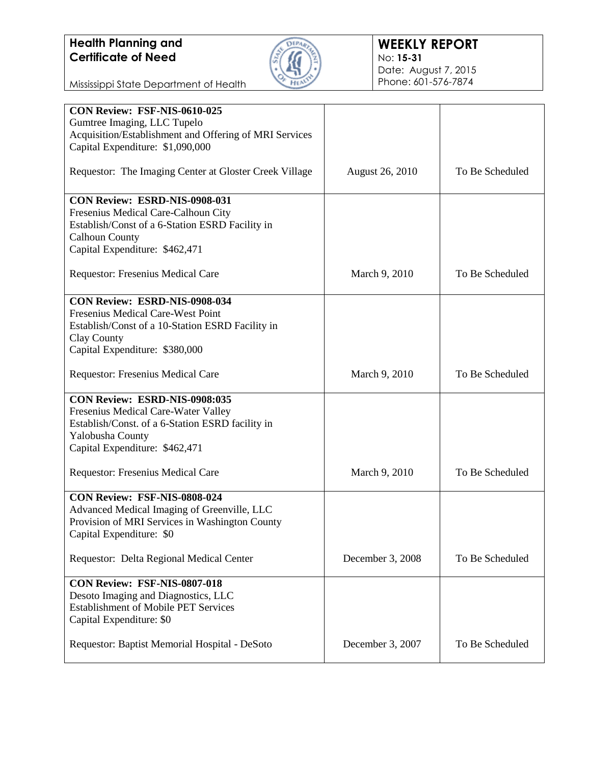

Mississippi State Department of Health

| CON Review: FSF-NIS-0610-025                           |                        |                 |
|--------------------------------------------------------|------------------------|-----------------|
| Gumtree Imaging, LLC Tupelo                            |                        |                 |
| Acquisition/Establishment and Offering of MRI Services |                        |                 |
|                                                        |                        |                 |
| Capital Expenditure: \$1,090,000                       |                        |                 |
|                                                        |                        |                 |
| Requestor: The Imaging Center at Gloster Creek Village | <b>August 26, 2010</b> | To Be Scheduled |
|                                                        |                        |                 |
|                                                        |                        |                 |
| CON Review: ESRD-NIS-0908-031                          |                        |                 |
| Fresenius Medical Care-Calhoun City                    |                        |                 |
| Establish/Const of a 6-Station ESRD Facility in        |                        |                 |
|                                                        |                        |                 |
| <b>Calhoun County</b>                                  |                        |                 |
| Capital Expenditure: \$462,471                         |                        |                 |
|                                                        |                        |                 |
| Requestor: Fresenius Medical Care                      | March 9, 2010          | To Be Scheduled |
|                                                        |                        |                 |
|                                                        |                        |                 |
| CON Review: ESRD-NIS-0908-034                          |                        |                 |
| Fresenius Medical Care-West Point                      |                        |                 |
| Establish/Const of a 10-Station ESRD Facility in       |                        |                 |
|                                                        |                        |                 |
| Clay County                                            |                        |                 |
| Capital Expenditure: \$380,000                         |                        |                 |
|                                                        |                        |                 |
| Requestor: Fresenius Medical Care                      | March 9, 2010          | To Be Scheduled |
|                                                        |                        |                 |
|                                                        |                        |                 |
| CON Review: ESRD-NIS-0908:035                          |                        |                 |
| Fresenius Medical Care-Water Valley                    |                        |                 |
| Establish/Const. of a 6-Station ESRD facility in       |                        |                 |
| Yalobusha County                                       |                        |                 |
|                                                        |                        |                 |
| Capital Expenditure: \$462,471                         |                        |                 |
|                                                        |                        |                 |
| Requestor: Fresenius Medical Care                      | March 9, 2010          | To Be Scheduled |
|                                                        |                        |                 |
|                                                        |                        |                 |
| CON Review: FSF-NIS-0808-024                           |                        |                 |
| Advanced Medical Imaging of Greenville, LLC            |                        |                 |
| Provision of MRI Services in Washington County         |                        |                 |
| Capital Expenditure: \$0                               |                        |                 |
|                                                        |                        |                 |
|                                                        |                        |                 |
| Requestor: Delta Regional Medical Center               | December 3, 2008       | To Be Scheduled |
|                                                        |                        |                 |
| CON Review: FSF-NIS-0807-018                           |                        |                 |
| Desoto Imaging and Diagnostics, LLC                    |                        |                 |
|                                                        |                        |                 |
| <b>Establishment of Mobile PET Services</b>            |                        |                 |
| Capital Expenditure: \$0                               |                        |                 |
|                                                        |                        |                 |
| Requestor: Baptist Memorial Hospital - DeSoto          | December 3, 2007       | To Be Scheduled |
|                                                        |                        |                 |
|                                                        |                        |                 |